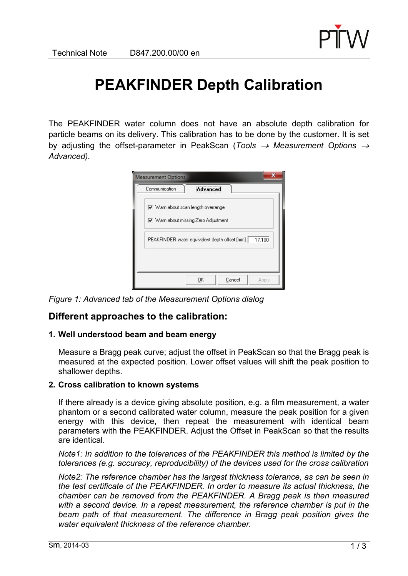

# **PEAKFINDER Depth Calibration**

The PEAKFINDER water column does not have an absolute depth calibration for particle beams on its delivery. This calibration has to be done by the customer. It is set by adjusting the offset-parameter in PeakScan (*Tools*  $\rightarrow$  *Measurement Options*  $\rightarrow$ *Advanced).*

| x<br><b>Measurement Options</b>                                                                                                |  |  |  |
|--------------------------------------------------------------------------------------------------------------------------------|--|--|--|
| Communication<br>Advanced                                                                                                      |  |  |  |
| $\overline{\mathbf{v}}$ Warn about scan length overrange<br>$\overline{\blacktriangledown}$ Warn about missing Zero Adjustment |  |  |  |
| PEAKFINDER water equivalent depth offset [mm]<br>17.100                                                                        |  |  |  |
|                                                                                                                                |  |  |  |
| OΚ<br>Cancel<br>Apply                                                                                                          |  |  |  |

*Figure 1: Advanced tab of the Measurement Options dialog* 

## **Different approaches to the calibration:**

### **1. Well understood beam and beam energy**

Measure a Bragg peak curve; adjust the offset in PeakScan so that the Bragg peak is measured at the expected position. Lower offset values will shift the peak position to shallower depths.

### **2. Cross calibration to known systems**

If there already is a device giving absolute position, e.g. a film measurement, a water phantom or a second calibrated water column, measure the peak position for a given energy with this device, then repeat the measurement with identical beam parameters with the PEAKFINDER. Adjust the Offset in PeakScan so that the results are identical.

*Note1: In addition to the tolerances of the PEAKFINDER this method is limited by the tolerances (e.g. accuracy, reproducibility) of the devices used for the cross calibration* 

*Note2: The reference chamber has the largest thickness tolerance, as can be seen in the test certificate of the PEAKFINDER. In order to measure its actual thickness, the chamber can be removed from the PEAKFINDER. A Bragg peak is then measured with a second device. In a repeat measurement, the reference chamber is put in the*  beam path of that measurement. The difference in Bragg peak position gives the *water equivalent thickness of the reference chamber.*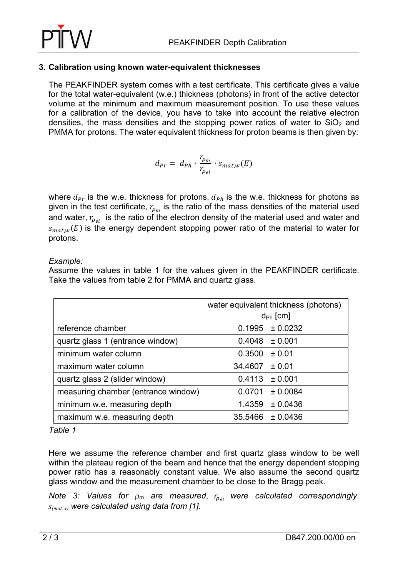

### **3. Calibration using known water-equivalent thicknesses**

The PEAKFINDER system comes with a test certificate. This certificate gives a value for the total water-equivalent (w.e.) thickness (photons) in front of the active detector volume at the minimum and maximum measurement position. To use these values for a calibration of the device, you have to take into account the relative electron densities, the mass densities and the stopping power ratios of water to  $SiO<sub>2</sub>$  and PMMA for protons. The water equivalent thickness for proton beams is then given by:

$$
d_{Pr} = d_{Ph} \cdot \frac{r_{\rho_m}}{r_{\rho_{el}}} \cdot s_{mat,w}(E)
$$

where  $d_{Pr}$  is the w.e. thickness for protons,  $d_{Ph}$  is the w.e. thickness for photons as given in the test certificate,  $r_{\rho_m}$  is the ratio of the mass densities of the material used and water,  $r_{\rho_{el}}$  is the ratio of the electron density of the material used and water and  $s_{mat,w}(E)$  is the energy dependent stopping power ratio of the material to water for protons.

*Example:* 

Assume the values in table 1 for the values given in the PEAKFINDER certificate. Take the values from table 2 for PMMA and quartz glass.

|                                     | water equivalent thickness (photons) |  |  |
|-------------------------------------|--------------------------------------|--|--|
|                                     | $d_{\text{Ph}}$ [cm]                 |  |  |
| reference chamber                   | $0.1995 \pm 0.0232$                  |  |  |
| quartz glass 1 (entrance window)    | $0.4048 \pm 0.001$                   |  |  |
| minimum water column                | 0.3500<br>$\pm$ 0.01                 |  |  |
| maximum water column                | 34.4607<br>± 0.01                    |  |  |
| quartz glass 2 (slider window)      | 0.4113<br>± 0.001                    |  |  |
| measuring chamber (entrance window) | $0.0701 \pm 0.0084$                  |  |  |
| minimum w.e. measuring depth        | 1.4359<br>± 0.0436                   |  |  |
| maximum w.e. measuring depth        | $35.5466 \pm 0.0436$                 |  |  |

*Table 1* 

Here we assume the reference chamber and first quartz glass window to be well within the plateau region of the beam and hence that the energy dependent stopping power ratio has a reasonably constant value. We also assume the second quartz glass window and the measurement chamber to be close to the Bragg peak.

*Note 3: Values for*  $\rho_m$  *are measured,*  $r_{\rho_{el}}$  *were calculated correspondingly. s(mat,w) were calculated using data from [1].*